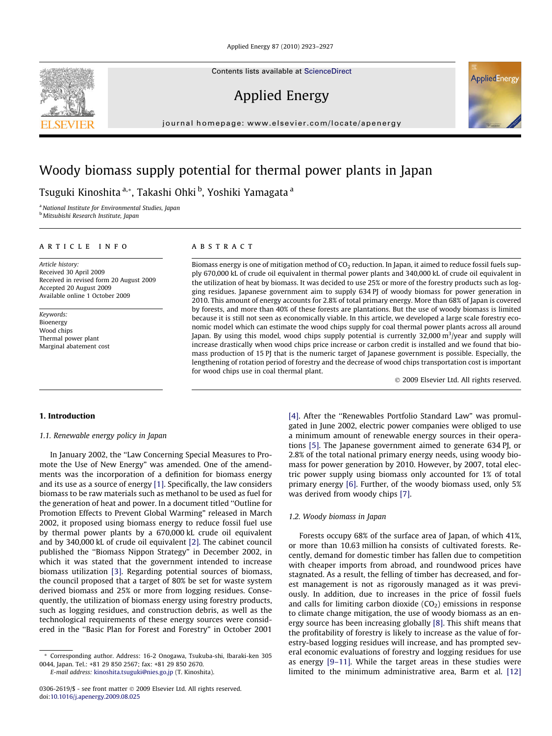Contents lists available at [ScienceDirect](http://www.sciencedirect.com/science/journal/03062619)

Applied Energy

journal homepage: [www.elsevier.com/locate/apenergy](http://www.elsevier.com/locate/apenergy)

## Woody biomass supply potential for thermal power plants in Japan

Tsuguki Kinoshita <sup>a,</sup>\*, Takashi Ohki <sup>b</sup>, Yoshiki Yamagata <sup>a</sup>

<sup>a</sup> National Institute for Environmental Studies, Japan <sup>b</sup> Mitsubishi Research Institute, Japan

#### article info

Article history: Received 30 April 2009 Received in revised form 20 August 2009 Accepted 20 August 2009 Available online 1 October 2009

Keywords: Bioenergy Wood chips Thermal power plant Marginal abatement cost

## **ABSTRACT**

Biomass energy is one of mitigation method of  $CO<sub>2</sub>$  reduction. In Japan, it aimed to reduce fossil fuels supply 670,000 kL of crude oil equivalent in thermal power plants and 340,000 kL of crude oil equivalent in the utilization of heat by biomass. It was decided to use 25% or more of the forestry products such as logging residues. Japanese government aim to supply 634 PJ of woody biomass for power generation in 2010. This amount of energy accounts for 2.8% of total primary energy. More than 68% of Japan is covered by forests, and more than 40% of these forests are plantations. But the use of woody biomass is limited because it is still not seen as economically viable. In this article, we developed a large scale forestry economic model which can estimate the wood chips supply for coal thermal power plants across all around Japan. By using this model, wood chips supply potential is currently 32,000 m<sup>3</sup>/year and supply will increase drastically when wood chips price increase or carbon credit is installed and we found that biomass production of 15 PJ that is the numeric target of Japanese government is possible. Especially, the lengthening of rotation period of forestry and the decrease of wood chips transportation cost is important for wood chips use in coal thermal plant.

- 2009 Elsevier Ltd. All rights reserved.

## 1. Introduction

#### 1.1. Renewable energy policy in Japan

In January 2002, the ''Law Concerning Special Measures to Promote the Use of New Energy" was amended. One of the amendments was the incorporation of a definition for biomass energy and its use as a source of energy [\[1\].](#page--1-0) Specifically, the law considers biomass to be raw materials such as methanol to be used as fuel for the generation of heat and power. In a document titled ''Outline for Promotion Effects to Prevent Global Warming" released in March 2002, it proposed using biomass energy to reduce fossil fuel use by thermal power plants by a 670,000 kL crude oil equivalent and by 340,000 kL of crude oil equivalent [\[2\].](#page--1-0) The cabinet council published the ''Biomass Nippon Strategy" in December 2002, in which it was stated that the government intended to increase biomass utilization [\[3\]](#page--1-0). Regarding potential sources of biomass, the council proposed that a target of 80% be set for waste system derived biomass and 25% or more from logging residues. Consequently, the utilization of biomass energy using forestry products, such as logging residues, and construction debris, as well as the technological requirements of these energy sources were considered in the ''Basic Plan for Forest and Forestry" in October 2001

E-mail address: [kinoshita.tsuguki@nies.go.jp](mailto:kinoshita.tsuguki@nies.go.jp) (T. Kinoshita).

[\[4\]](#page--1-0). After the ''Renewables Portfolio Standard Law" was promulgated in June 2002, electric power companies were obliged to use a minimum amount of renewable energy sources in their operations [\[5\]](#page--1-0). The Japanese government aimed to generate 634 PJ, or 2.8% of the total national primary energy needs, using woody biomass for power generation by 2010. However, by 2007, total electric power supply using biomass only accounted for 1% of total primary energy [\[6\]](#page--1-0). Further, of the woody biomass used, only 5% was derived from woody chips [\[7\]](#page--1-0).

### 1.2. Woody biomass in Japan

Forests occupy 68% of the surface area of Japan, of which 41%, or more than 10.63 million ha consists of cultivated forests. Recently, demand for domestic timber has fallen due to competition with cheaper imports from abroad, and roundwood prices have stagnated. As a result, the felling of timber has decreased, and forest management is not as rigorously managed as it was previously. In addition, due to increases in the price of fossil fuels and calls for limiting carbon dioxide  $(CO<sub>2</sub>)$  emissions in response to climate change mitigation, the use of woody biomass as an energy source has been increasing globally [\[8\]](#page--1-0). This shift means that the profitability of forestry is likely to increase as the value of forestry-based logging residues will increase, and has prompted several economic evaluations of forestry and logging residues for use as energy [\[9–11\]](#page--1-0). While the target areas in these studies were limited to the minimum administrative area, Barm et al. [\[12\]](#page--1-0)





<sup>\*</sup> Corresponding author. Address: 16-2 Onogawa, Tsukuba-shi, Ibaraki-ken 305 0044, Japan. Tel.: +81 29 850 2567; fax: +81 29 850 2670.

<sup>0306-2619/\$ -</sup> see front matter © 2009 Elsevier Ltd. All rights reserved. doi[:10.1016/j.apenergy.2009.08.025](http://dx.doi.org/10.1016/j.apenergy.2009.08.025)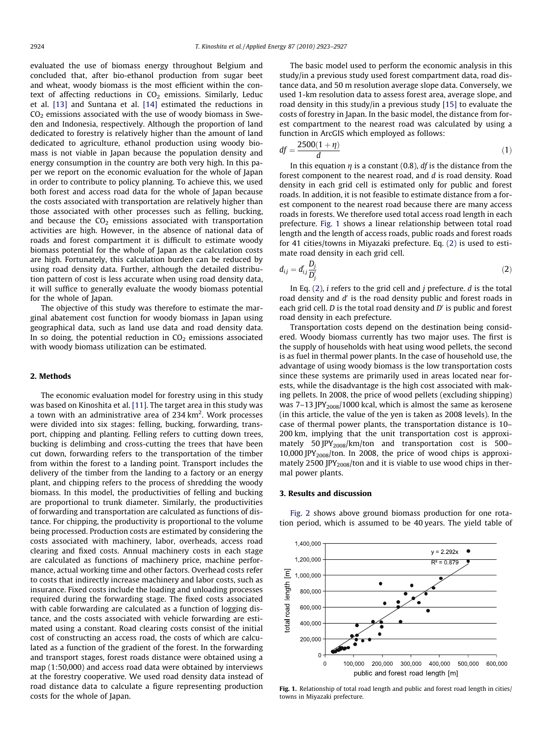evaluated the use of biomass energy throughout Belgium and concluded that, after bio-ethanol production from sugar beet and wheat, woody biomass is the most efficient within the context of affecting reductions in  $CO<sub>2</sub>$  emissions. Similarly, Leduc et al. [\[13\]](#page--1-0) and Suntana et al. [\[14\]](#page--1-0) estimated the reductions in  $CO<sub>2</sub>$  emissions associated with the use of woody biomass in Sweden and Indonesia, respectively. Although the proportion of land dedicated to forestry is relatively higher than the amount of land dedicated to agriculture, ethanol production using woody biomass is not viable in Japan because the population density and energy consumption in the country are both very high. In this paper we report on the economic evaluation for the whole of Japan in order to contribute to policy planning. To achieve this, we used both forest and access road data for the whole of Japan because the costs associated with transportation are relatively higher than those associated with other processes such as felling, bucking, and because the  $CO<sub>2</sub>$  emissions associated with transportation activities are high. However, in the absence of national data of roads and forest compartment it is difficult to estimate woody biomass potential for the whole of Japan as the calculation costs are high. Fortunately, this calculation burden can be reduced by using road density data. Further, although the detailed distribution pattern of cost is less accurate when using road density data, it will suffice to generally evaluate the woody biomass potential for the whole of Japan.

The objective of this study was therefore to estimate the marginal abatement cost function for woody biomass in Japan using geographical data, such as land use data and road density data. In so doing, the potential reduction in  $CO<sub>2</sub>$  emissions associated with woody biomass utilization can be estimated.

## 2. Methods

The economic evaluation model for forestry using in this study was based on Kinoshita et al. [\[11\]](#page--1-0). The target area in this study was a town with an administrative area of 234  $\rm km^2$ . Work processes were divided into six stages: felling, bucking, forwarding, transport, chipping and planting. Felling refers to cutting down trees, bucking is delimbing and cross-cutting the trees that have been cut down, forwarding refers to the transportation of the timber from within the forest to a landing point. Transport includes the delivery of the timber from the landing to a factory or an energy plant, and chipping refers to the process of shredding the woody biomass. In this model, the productivities of felling and bucking are proportional to trunk diameter. Similarly, the productivities of forwarding and transportation are calculated as functions of distance. For chipping, the productivity is proportional to the volume being processed. Production costs are estimated by considering the costs associated with machinery, labor, overheads, access road clearing and fixed costs. Annual machinery costs in each stage are calculated as functions of machinery price, machine performance, actual working time and other factors. Overhead costs refer to costs that indirectly increase machinery and labor costs, such as insurance. Fixed costs include the loading and unloading processes required during the forwarding stage. The fixed costs associated with cable forwarding are calculated as a function of logging distance, and the costs associated with vehicle forwarding are estimated using a constant. Road clearing costs consist of the initial cost of constructing an access road, the costs of which are calculated as a function of the gradient of the forest. In the forwarding and transport stages, forest roads distance were obtained using a map (1:50,000) and access road data were obtained by interviews at the forestry cooperative. We used road density data instead of road distance data to calculate a figure representing production costs for the whole of Japan.

The basic model used to perform the economic analysis in this study/in a previous study used forest compartment data, road distance data, and 50 m resolution average slope data. Conversely, we used 1-km resolution data to assess forest area, average slope, and road density in this study/in a previous study [\[15\]](#page--1-0) to evaluate the costs of forestry in Japan. In the basic model, the distance from forest compartment to the nearest road was calculated by using a function in ArcGIS which employed as follows:

$$
df = \frac{2500(1+\eta)}{d} \tag{1}
$$

In this equation  $\eta$  is a constant (0.8), df is the distance from the forest component to the nearest road, and d is road density. Road density in each grid cell is estimated only for public and forest roads. In addition, it is not feasible to estimate distance from a forest component to the nearest road because there are many access roads in forests. We therefore used total access road length in each prefecture. Fig. 1 shows a linear relationship between total road length and the length of access roads, public roads and forest roads for 41 cities/towns in Miyazaki prefecture. Eq. (2) is used to estimate road density in each grid cell.

$$
d_{ij} = d'_{ij} \frac{D_j}{D'_j} \tag{2}
$$

In Eq.  $(2)$ , *i* refers to the grid cell and *j* prefecture. *d* is the total road density and  $d'$  is the road density public and forest roads in each grid cell.  $D$  is the total road density and  $D'$  is public and forest road density in each prefecture.

Transportation costs depend on the destination being considered. Woody biomass currently has two major uses. The first is the supply of households with heat using wood pellets, the second is as fuel in thermal power plants. In the case of household use, the advantage of using woody biomass is the low transportation costs since these systems are primarily used in areas located near forests, while the disadvantage is the high cost associated with making pellets. In 2008, the price of wood pellets (excluding shipping) was 7–13 JPY<sub>2008</sub>/1000 kcal, which is almost the same as kerosene (in this article, the value of the yen is taken as 2008 levels). In the case of thermal power plants, the transportation distance is 10– 200 km, implying that the unit transportation cost is approximately 50 JPY<sub>2008</sub>/km/ton and transportation cost is 500-10,000 JPY<sub>2008</sub>/ton. In 2008, the price of wood chips is approximately 2500 JPY<sub>2008</sub>/ton and it is viable to use wood chips in thermal power plants.

#### 3. Results and discussion



[Fig. 2](#page--1-0) shows above ground biomass production for one rotation period, which is assumed to be 40 years. The yield table of

Fig. 1. Relationship of total road length and public and forest road length in cities/ towns in Miyazaki prefecture.